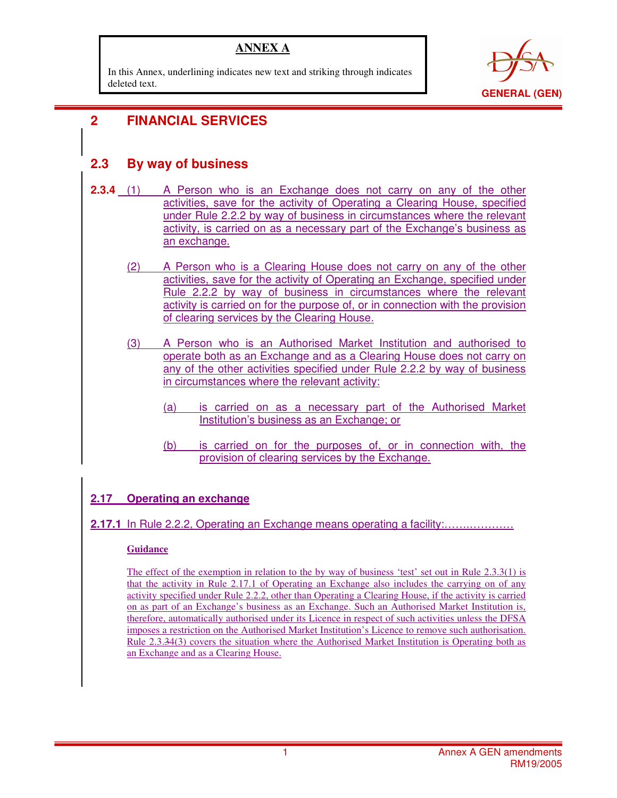### **ANNEX A**

In this Annex, underlining indicates new text and striking through indicates deleted text.



### i **2 FINANCIAL SERVICES**

## **2.3 By way of business**

- **2.3.4** (1) A Person who is an Exchange does not carry on any of the other activities, save for the activity of Operating a Clearing House, specified under Rule 2.2.2 by way of business in circumstances where the relevant activity, is carried on as a necessary part of the Exchange's business as an exchange.
	- (2) A Person who is a Clearing House does not carry on any of the other activities, save for the activity of Operating an Exchange, specified under Rule 2.2.2 by way of business in circumstances where the relevant activity is carried on for the purpose of, or in connection with the provision of clearing services by the Clearing House.
	- (3) A Person who is an Authorised Market Institution and authorised to operate both as an Exchange and as a Clearing House does not carry on any of the other activities specified under Rule 2.2.2 by way of business in circumstances where the relevant activity:
		- (a) is carried on as a necessary part of the Authorised Market Institution's business as an Exchange; or
		- (b) is carried on for the purposes of, or in connection with, the provision of clearing services by the Exchange.

### **2.17 Operating an exchange**

**2.17.1** In Rule 2.2.2, Operating an Exchange means operating a facility:…….…………

#### **Guidance**

The effect of the exemption in relation to the by way of business 'test' set out in Rule 2.3.3(1) is that the activity in Rule 2.17.1 of Operating an Exchange also includes the carrying on of any activity specified under Rule 2.2.2, other than Operating a Clearing House, if the activity is carried on as part of an Exchange's business as an Exchange. Such an Authorised Market Institution is, therefore, automatically authorised under its Licence in respect of such activities unless the DFSA imposes a restriction on the Authorised Market Institution's Licence to remove such authorisation. Rule 2.3.34(3) covers the situation where the Authorised Market Institution is Operating both as an Exchange and as a Clearing House.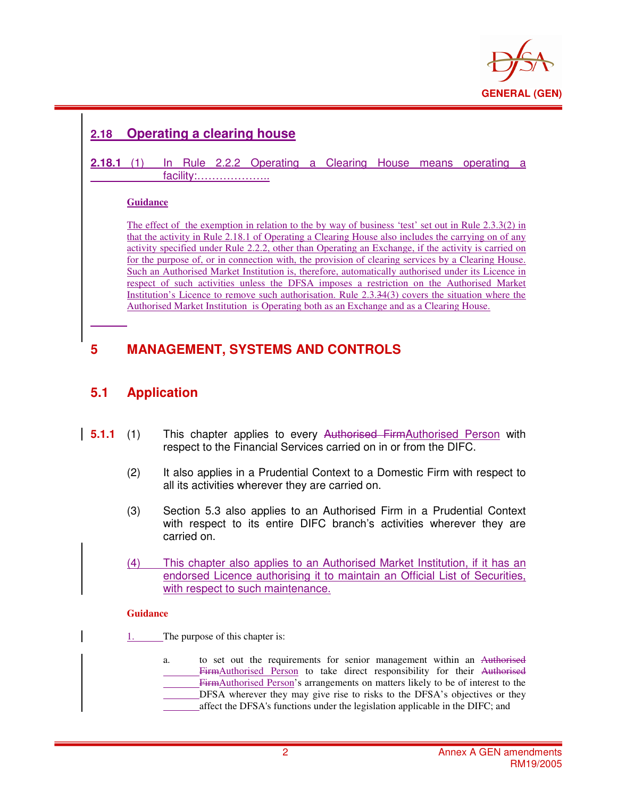

# **2.18 Operating a clearing house**

#### **2.18.1** (1) In Rule 2.2.2 Operating a Clearing House means operating a facility:………………..

#### **Guidance**

i

The effect of the exemption in relation to the by way of business 'test' set out in Rule 2.3.3(2) in that the activity in Rule 2.18.1 of Operating a Clearing House also includes the carrying on of any activity specified under Rule 2.2.2, other than Operating an Exchange, if the activity is carried on for the purpose of, or in connection with, the provision of clearing services by a Clearing House. Such an Authorised Market Institution is, therefore, automatically authorised under its Licence in respect of such activities unless the DFSA imposes a restriction on the Authorised Market Institution's Licence to remove such authorisation. Rule 2.3.34(3) covers the situation where the Authorised Market Institution is Operating both as an Exchange and as a Clearing House.

## **5 MANAGEMENT, SYSTEMS AND CONTROLS**

### **5.1 Application**

- **5.1.1** (1) This chapter applies to every Authorised FirmAuthorised Person with respect to the Financial Services carried on in or from the DIFC.
	- (2) It also applies in a Prudential Context to a Domestic Firm with respect to all its activities wherever they are carried on.
	- (3) Section 5.3 also applies to an Authorised Firm in a Prudential Context with respect to its entire DIFC branch's activities wherever they are carried on.
	- (4) This chapter also applies to an Authorised Market Institution, if it has an endorsed Licence authorising it to maintain an Official List of Securities, with respect to such maintenance.

#### **Guidance**

- 1. The purpose of this chapter is:
	- a. to set out the requirements for senior management within an Authorised FirmAuthorised Person to take direct responsibility for their Authorised FirmAuthorised Person's arrangements on matters likely to be of interest to the DFSA wherever they may give rise to risks to the DFSA's objectives or they affect the DFSA's functions under the legislation applicable in the DIFC; and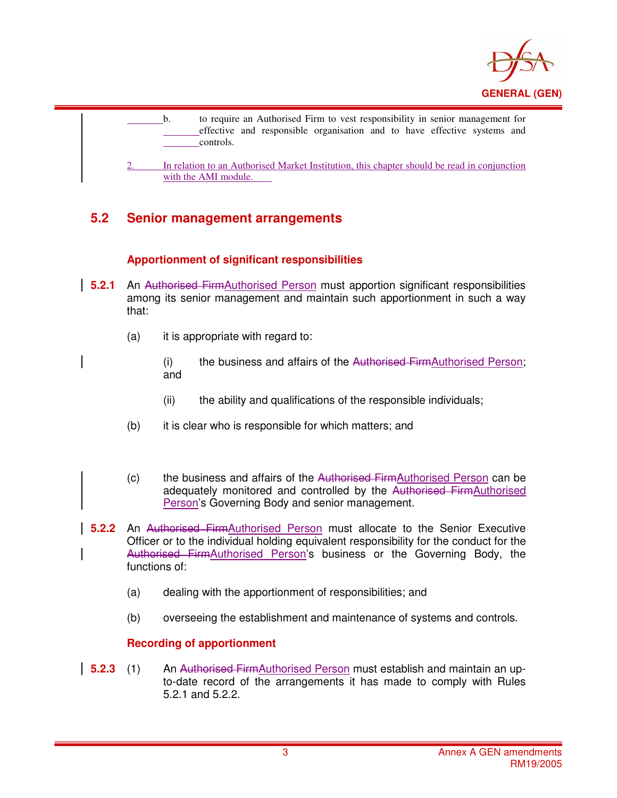

| to require an Authorised Firm to vest responsibility in senior management for<br>effective and responsible organisation and to have effective systems and<br>controls. |
|------------------------------------------------------------------------------------------------------------------------------------------------------------------------|
| In relation to an Authorised Market Institution, this chapter should be read in conjunction<br>with the AMI module.                                                    |

# **5.2 Senior management arrangements**

### **Apportionment of significant responsibilities**

- **5.2.1** An Authorised FirmAuthorised Person must apportion significant responsibilities among its senior management and maintain such apportionment in such a way that:
	- (a) it is appropriate with regard to:
		- (i) the business and affairs of the Authorised FirmAuthorised Person; and
		- (ii) the ability and qualifications of the responsible individuals;
	- (b) it is clear who is responsible for which matters; and
	- (c) the business and affairs of the Authorised FirmAuthorised Person can be adequately monitored and controlled by the Authorised FirmAuthorised Person's Governing Body and senior management.
- **5.2.2** An Authorised FirmAuthorised Person must allocate to the Senior Executive Officer or to the individual holding equivalent responsibility for the conduct for the Authorised FirmAuthorised Person's business or the Governing Body, the functions of:
	- (a) dealing with the apportionment of responsibilities; and
	- (b) overseeing the establishment and maintenance of systems and controls.

## **Recording of apportionment**

**5.2.3** (1) An Authorised FirmAuthorised Person must establish and maintain an upto-date record of the arrangements it has made to comply with Rules 5.2.1 and 5.2.2.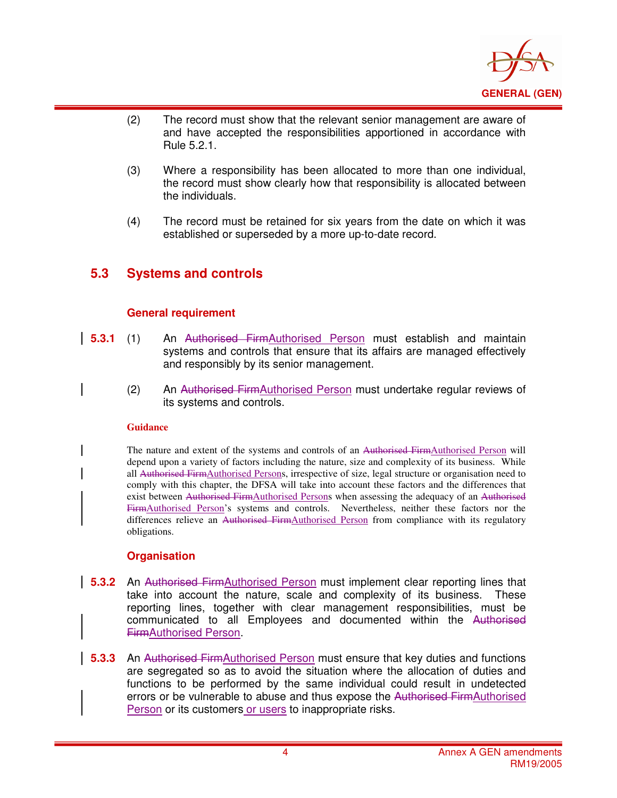

- (2) The record must show that the relevant senior management are aware of and have accepted the responsibilities apportioned in accordance with Rule 5.2.1.
- (3) Where a responsibility has been allocated to more than one individual, the record must show clearly how that responsibility is allocated between the individuals.
- (4) The record must be retained for six years from the date on which it was established or superseded by a more up-to-date record.

### **5.3 Systems and controls**

i

#### **General requirement**

- **5.3.1** (1) An Authorised FirmAuthorised Person must establish and maintain systems and controls that ensure that its affairs are managed effectively and responsibly by its senior management.
	- (2) An Authorised FirmAuthorised Person must undertake regular reviews of its systems and controls.

#### **Guidance**

The nature and extent of the systems and controls of an Authorised FirmAuthorised Person will depend upon a variety of factors including the nature, size and complexity of its business. While all Authorised FirmAuthorised Persons, irrespective of size, legal structure or organisation need to comply with this chapter, the DFSA will take into account these factors and the differences that exist between Authorised FirmAuthorised Persons when assessing the adequacy of an Authorised FirmAuthorised Person's systems and controls. Nevertheless, neither these factors nor the differences relieve an Authorised FirmAuthorised Person from compliance with its regulatory obligations.

#### **Organisation**

- **5.3.2** An Authorised FirmAuthorised Person must implement clear reporting lines that take into account the nature, scale and complexity of its business. These reporting lines, together with clear management responsibilities, must be communicated to all Employees and documented within the Authorised FirmAuthorised Person.
- **5.3.3** An Authorised FirmAuthorised Person must ensure that key duties and functions are segregated so as to avoid the situation where the allocation of duties and functions to be performed by the same individual could result in undetected errors or be vulnerable to abuse and thus expose the Authorised FirmAuthorised Person or its customers or users to inappropriate risks.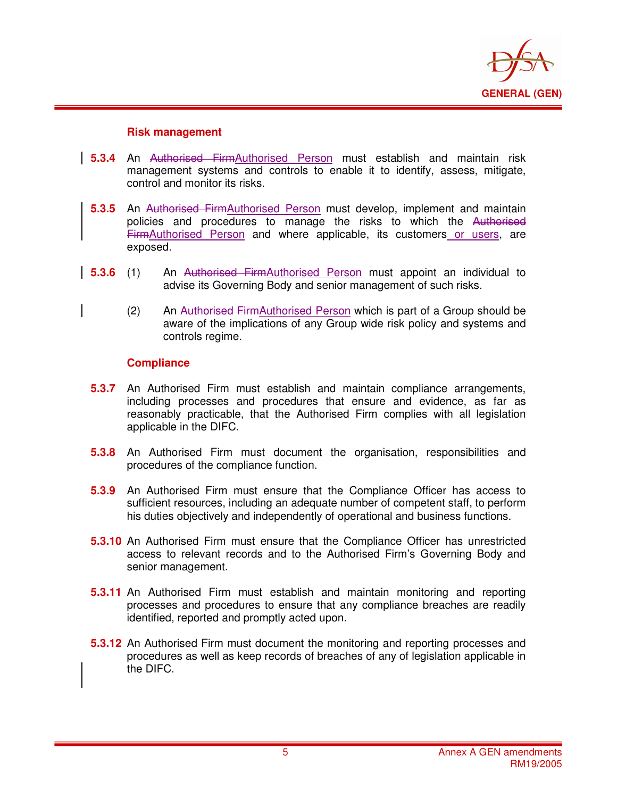

#### **Risk management**

i

- **5.3.4** An Authorised FirmAuthorised Person must establish and maintain risk management systems and controls to enable it to identify, assess, mitigate, control and monitor its risks.
- **5.3.5** An Authorised FirmAuthorised Person must develop, implement and maintain policies and procedures to manage the risks to which the Authorised FirmAuthorised Person and where applicable, its customers or users, are exposed.
- **5.3.6** (1) An Authorised FirmAuthorised Person must appoint an individual to advise its Governing Body and senior management of such risks.
	- (2) An Authorised FirmAuthorised Person which is part of a Group should be aware of the implications of any Group wide risk policy and systems and controls regime.

#### **Compliance**

- **5.3.7** An Authorised Firm must establish and maintain compliance arrangements, including processes and procedures that ensure and evidence, as far as reasonably practicable, that the Authorised Firm complies with all legislation applicable in the DIFC.
- **5.3.8** An Authorised Firm must document the organisation, responsibilities and procedures of the compliance function.
- **5.3.9** An Authorised Firm must ensure that the Compliance Officer has access to sufficient resources, including an adequate number of competent staff, to perform his duties objectively and independently of operational and business functions.
- **5.3.10** An Authorised Firm must ensure that the Compliance Officer has unrestricted access to relevant records and to the Authorised Firm's Governing Body and senior management.
- **5.3.11** An Authorised Firm must establish and maintain monitoring and reporting processes and procedures to ensure that any compliance breaches are readily identified, reported and promptly acted upon.
- **5.3.12** An Authorised Firm must document the monitoring and reporting processes and procedures as well as keep records of breaches of any of legislation applicable in the DIFC.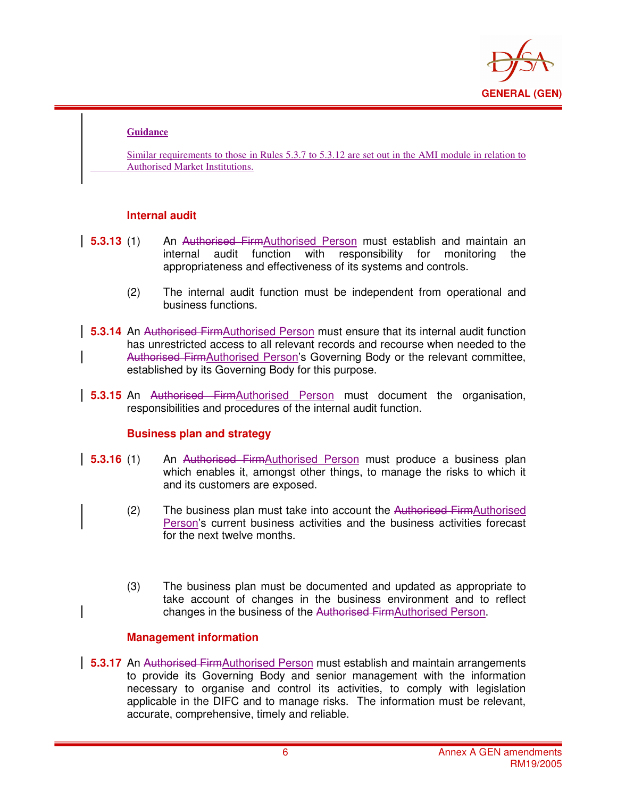

#### **Guidance**

i

Similar requirements to those in Rules 5.3.7 to 5.3.12 are set out in the AMI module in relation to Authorised Market Institutions.

#### **Internal audit**

- **5.3.13** (1) An Authorised FirmAuthorised Person must establish and maintain an internal audit function with responsibility for monitoring the appropriateness and effectiveness of its systems and controls.
	- (2) The internal audit function must be independent from operational and business functions.
- **5.3.14** An Authorised FirmAuthorised Person must ensure that its internal audit function has unrestricted access to all relevant records and recourse when needed to the Authorised FirmAuthorised Person's Governing Body or the relevant committee, established by its Governing Body for this purpose.
- **5.3.15** An Authorised FirmAuthorised Person must document the organisation, responsibilities and procedures of the internal audit function.

#### **Business plan and strategy**

- **5.3.16** (1) An Authorised FirmAuthorised Person must produce a business plan which enables it, amongst other things, to manage the risks to which it and its customers are exposed.
	- (2) The business plan must take into account the Authorised FirmAuthorised Person's current business activities and the business activities forecast for the next twelve months.
	- (3) The business plan must be documented and updated as appropriate to take account of changes in the business environment and to reflect changes in the business of the Authorised FirmAuthorised Person.

#### **Management information**

**5.3.17** An Authorised FirmAuthorised Person must establish and maintain arrangements to provide its Governing Body and senior management with the information necessary to organise and control its activities, to comply with legislation applicable in the DIFC and to manage risks. The information must be relevant, accurate, comprehensive, timely and reliable.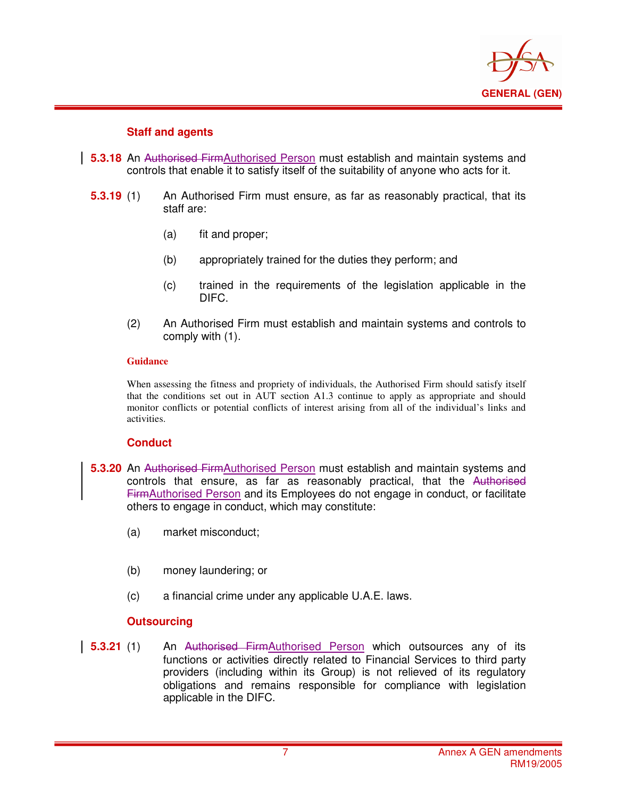

#### **Staff and agents**

i

- **5.3.18** An Authorised FirmAuthorised Person must establish and maintain systems and controls that enable it to satisfy itself of the suitability of anyone who acts for it.
- **5.3.19** (1) An Authorised Firm must ensure, as far as reasonably practical, that its staff are:
	- (a) fit and proper;
	- (b) appropriately trained for the duties they perform; and
	- (c) trained in the requirements of the legislation applicable in the DIFC.
	- (2) An Authorised Firm must establish and maintain systems and controls to comply with (1).

#### **Guidance**

When assessing the fitness and propriety of individuals, the Authorised Firm should satisfy itself that the conditions set out in AUT section A1.3 continue to apply as appropriate and should monitor conflicts or potential conflicts of interest arising from all of the individual's links and activities.

#### **Conduct**

- **5.3.20** An Authorised FirmAuthorised Person must establish and maintain systems and controls that ensure, as far as reasonably practical, that the Authorised FirmAuthorised Person and its Employees do not engage in conduct, or facilitate others to engage in conduct, which may constitute:
	- (a) market misconduct;
	- (b) money laundering; or
	- (c) a financial crime under any applicable U.A.E. laws.

#### **Outsourcing**

**5.3.21** (1) An Authorised FirmAuthorised Person which outsources any of its functions or activities directly related to Financial Services to third party providers (including within its Group) is not relieved of its regulatory obligations and remains responsible for compliance with legislation applicable in the DIFC.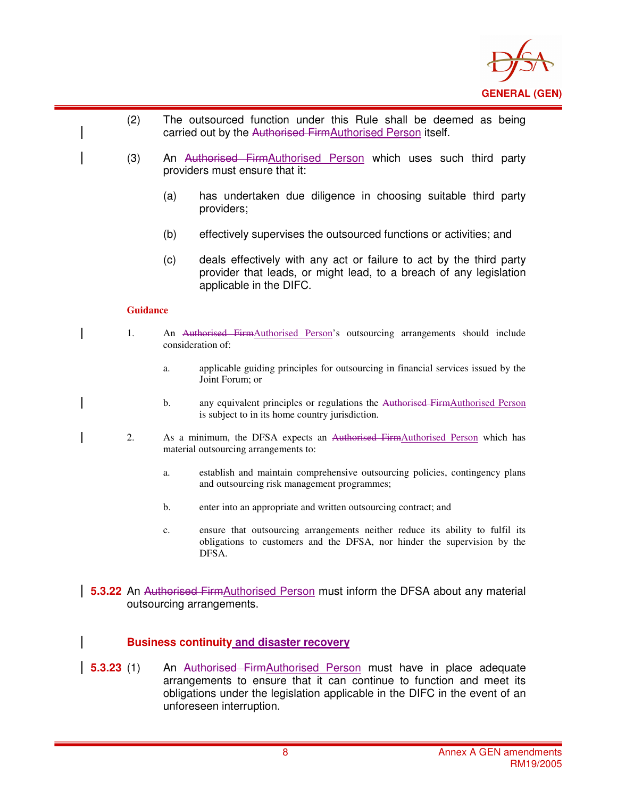

- (2) The outsourced function under this Rule shall be deemed as being carried out by the Authorised FirmAuthorised Person itself.
	- (3) An Authorised FirmAuthorised Person which uses such third party providers must ensure that it:
		- (a) has undertaken due diligence in choosing suitable third party providers;
		- (b) effectively supervises the outsourced functions or activities; and
		- (c) deals effectively with any act or failure to act by the third party provider that leads, or might lead, to a breach of any legislation applicable in the DIFC.

#### **Guidance**

i

- 1. An Authorised FirmAuthorised Person's outsourcing arrangements should include consideration of:
	- a. applicable guiding principles for outsourcing in financial services issued by the Joint Forum; or
	- b. any equivalent principles or regulations the Authorised FirmAuthorised Person is subject to in its home country jurisdiction.
- 2. As a minimum, the DFSA expects an Authorised FirmAuthorised Person which has material outsourcing arrangements to:
	- a. establish and maintain comprehensive outsourcing policies, contingency plans and outsourcing risk management programmes;
	- b. enter into an appropriate and written outsourcing contract; and
	- c. ensure that outsourcing arrangements neither reduce its ability to fulfil its obligations to customers and the DFSA, nor hinder the supervision by the DFSA.
- **5.3.22** An Authorised FirmAuthorised Person must inform the DFSA about any material outsourcing arrangements.

#### **Business continuity and disaster recovery**

**5.3.23** (1) An Authorised FirmAuthorised Person must have in place adequate arrangements to ensure that it can continue to function and meet its obligations under the legislation applicable in the DIFC in the event of an unforeseen interruption.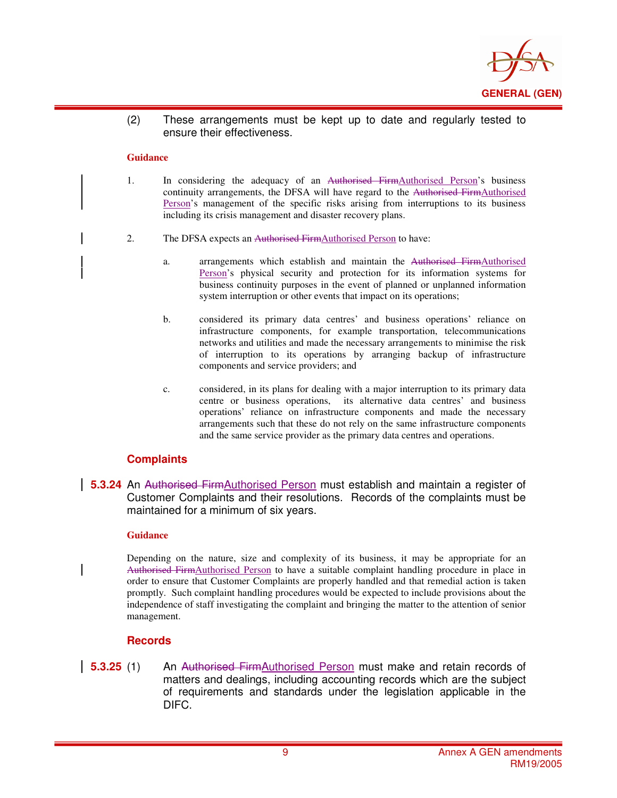

(2) These arrangements must be kept up to date and regularly tested to ensure their effectiveness.

#### **Guidance**

i

- 1. In considering the adequacy of an Authorised FirmAuthorised Person's business continuity arrangements, the DFSA will have regard to the Authorised FirmAuthorised Person's management of the specific risks arising from interruptions to its business including its crisis management and disaster recovery plans.
- 2. The DFSA expects an Authorised FirmAuthorised Person to have:
	- a. arrangements which establish and maintain the Authorised FirmAuthorised Person's physical security and protection for its information systems for business continuity purposes in the event of planned or unplanned information system interruption or other events that impact on its operations;
	- b. considered its primary data centres' and business operations' reliance on infrastructure components, for example transportation, telecommunications networks and utilities and made the necessary arrangements to minimise the risk of interruption to its operations by arranging backup of infrastructure components and service providers; and
	- c. considered, in its plans for dealing with a major interruption to its primary data centre or business operations, its alternative data centres' and business operations' reliance on infrastructure components and made the necessary arrangements such that these do not rely on the same infrastructure components and the same service provider as the primary data centres and operations.

#### **Complaints**

**5.3.24** An Authorised FirmAuthorised Person must establish and maintain a register of Customer Complaints and their resolutions. Records of the complaints must be maintained for a minimum of six years.

#### **Guidance**

Depending on the nature, size and complexity of its business, it may be appropriate for an Authorised FirmAuthorised Person to have a suitable complaint handling procedure in place in order to ensure that Customer Complaints are properly handled and that remedial action is taken promptly. Such complaint handling procedures would be expected to include provisions about the independence of staff investigating the complaint and bringing the matter to the attention of senior management.

#### **Records**

**5.3.25** (1) An Authorised FirmAuthorised Person must make and retain records of matters and dealings, including accounting records which are the subject of requirements and standards under the legislation applicable in the DIFC.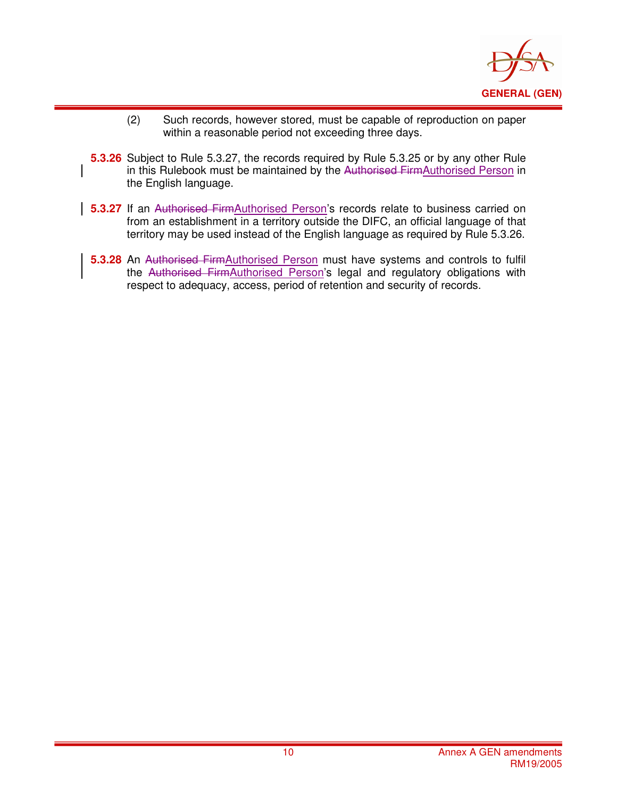

- (2) Such records, however stored, must be capable of reproduction on paper within a reasonable period not exceeding three days.
- **5.3.26** Subject to Rule 5.3.27, the records required by Rule 5.3.25 or by any other Rule in this Rulebook must be maintained by the Authorised FirmAuthorised Person in the English language.

- **5.3.27** If an Authorised FirmAuthorised Person's records relate to business carried on from an establishment in a territory outside the DIFC, an official language of that territory may be used instead of the English language as required by Rule 5.3.26.
	- **5.3.28** An Authorised FirmAuthorised Person must have systems and controls to fulfil the Authorised FirmAuthorised Person's legal and regulatory obligations with respect to adequacy, access, period of retention and security of records.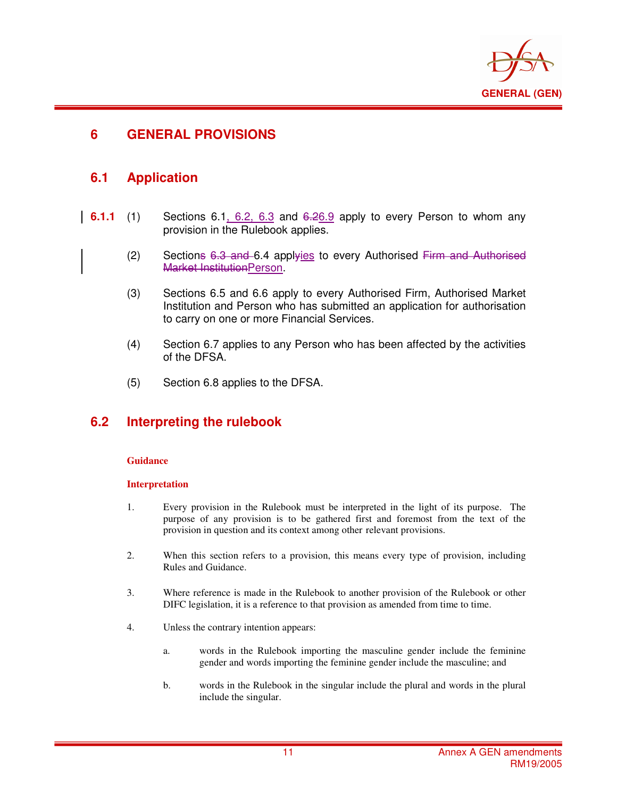

### **6 GENERAL PROVISIONS**

### **6.1 Application**

i

- **6.1.1** (1) Sections 6.1, 6.2, 6.3 and 6.26.9 apply to every Person to whom any provision in the Rulebook applies.
	- $(2)$  Sections 6.3 and 6.4 applyies to every Authorised Firm and Authorised Market InstitutionPerson.
	- (3) Sections 6.5 and 6.6 apply to every Authorised Firm, Authorised Market Institution and Person who has submitted an application for authorisation to carry on one or more Financial Services.
	- (4) Section 6.7 applies to any Person who has been affected by the activities of the DFSA.
	- (5) Section 6.8 applies to the DFSA.

### **6.2 Interpreting the rulebook**

#### **Guidance**

#### **Interpretation**

- 1. Every provision in the Rulebook must be interpreted in the light of its purpose. The purpose of any provision is to be gathered first and foremost from the text of the provision in question and its context among other relevant provisions.
- 2. When this section refers to a provision, this means every type of provision, including Rules and Guidance.
- 3. Where reference is made in the Rulebook to another provision of the Rulebook or other DIFC legislation, it is a reference to that provision as amended from time to time.
- 4. Unless the contrary intention appears:
	- a. words in the Rulebook importing the masculine gender include the feminine gender and words importing the feminine gender include the masculine; and
	- b. words in the Rulebook in the singular include the plural and words in the plural include the singular.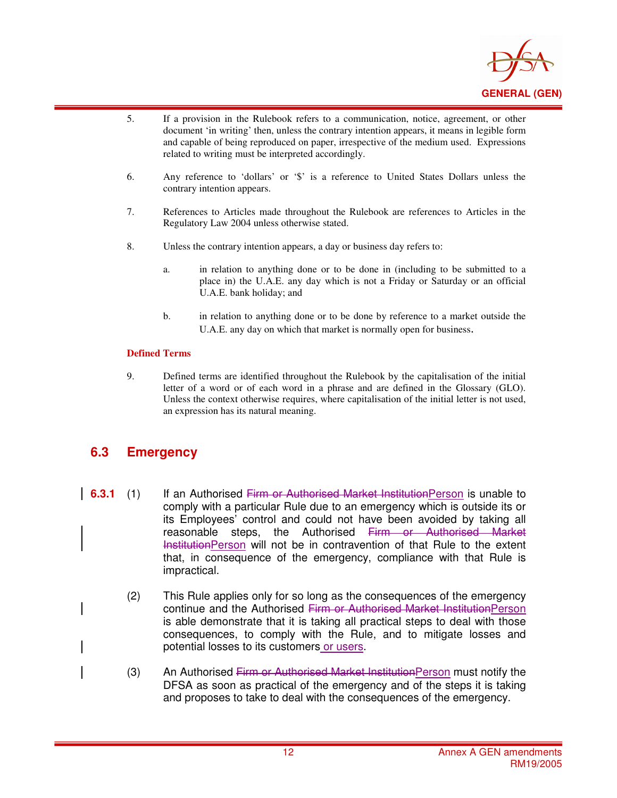

- 5. If a provision in the Rulebook refers to a communication, notice, agreement, or other document 'in writing' then, unless the contrary intention appears, it means in legible form and capable of being reproduced on paper, irrespective of the medium used. Expressions related to writing must be interpreted accordingly.
- 6. Any reference to 'dollars' or '\$' is a reference to United States Dollars unless the contrary intention appears.
- 7. References to Articles made throughout the Rulebook are references to Articles in the Regulatory Law 2004 unless otherwise stated.
- 8. Unless the contrary intention appears, a day or business day refers to:
	- a. in relation to anything done or to be done in (including to be submitted to a place in) the U.A.E. any day which is not a Friday or Saturday or an official U.A.E. bank holiday; and
	- b. in relation to anything done or to be done by reference to a market outside the U.A.E. any day on which that market is normally open for business.

#### **Defined Terms**

i

9. Defined terms are identified throughout the Rulebook by the capitalisation of the initial letter of a word or of each word in a phrase and are defined in the Glossary (GLO). Unless the context otherwise requires, where capitalisation of the initial letter is not used, an expression has its natural meaning.

### **6.3 Emergency**

- **6.3.1** (1) If an Authorised Firm or Authorised Market InstitutionPerson is unable to comply with a particular Rule due to an emergency which is outside its or its Employees' control and could not have been avoided by taking all reasonable steps, the Authorised Firm or Authorised Market InstitutionPerson will not be in contravention of that Rule to the extent that, in consequence of the emergency, compliance with that Rule is impractical.
	- (2) This Rule applies only for so long as the consequences of the emergency continue and the Authorised Firm or Authorised Market InstitutionPerson is able demonstrate that it is taking all practical steps to deal with those consequences, to comply with the Rule, and to mitigate losses and potential losses to its customers or users.
	- (3) An Authorised Firm or Authorised Market InstitutionPerson must notify the DFSA as soon as practical of the emergency and of the steps it is taking and proposes to take to deal with the consequences of the emergency.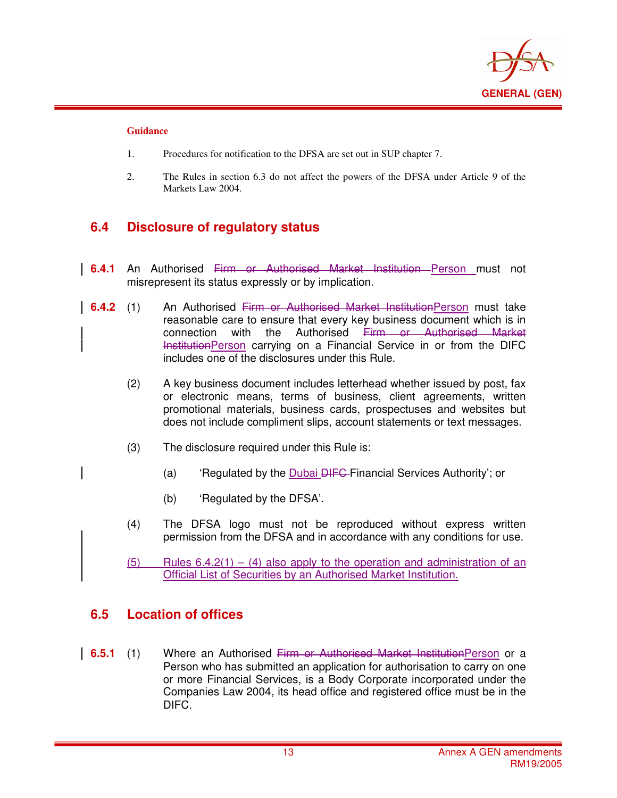

#### **Guidance**

i

- 1. Procedures for notification to the DFSA are set out in SUP chapter 7.
- 2. The Rules in section 6.3 do not affect the powers of the DFSA under Article 9 of the Markets Law 2004.

### **6.4 Disclosure of regulatory status**

- **6.4.1** An Authorised Firm or Authorised Market Institution Person must not misrepresent its status expressly or by implication.
- **6.4.2** (1) An Authorised Firm or Authorised Market InstitutionPerson must take reasonable care to ensure that every key business document which is in connection with the Authorised Firm or Authorised Market InstitutionPerson carrying on a Financial Service in or from the DIFC includes one of the disclosures under this Rule.
	- (2) A key business document includes letterhead whether issued by post, fax or electronic means, terms of business, client agreements, written promotional materials, business cards, prospectuses and websites but does not include compliment slips, account statements or text messages.
	- (3) The disclosure required under this Rule is:
		- (a) 'Regulated by the Dubai <del>DIFC F</del>inancial Services Authority'; or
		- (b) 'Regulated by the DFSA'.
	- (4) The DFSA logo must not be reproduced without express written permission from the DFSA and in accordance with any conditions for use.
	- (5) Rules  $6.4.2(1) (4)$  also apply to the operation and administration of an Official List of Securities by an Authorised Market Institution.

### **6.5 Location of offices**

**6.5.1** (1) Where an Authorised Firm or Authorised Market InstitutionPerson or a Person who has submitted an application for authorisation to carry on one or more Financial Services, is a Body Corporate incorporated under the Companies Law 2004, its head office and registered office must be in the DIFC.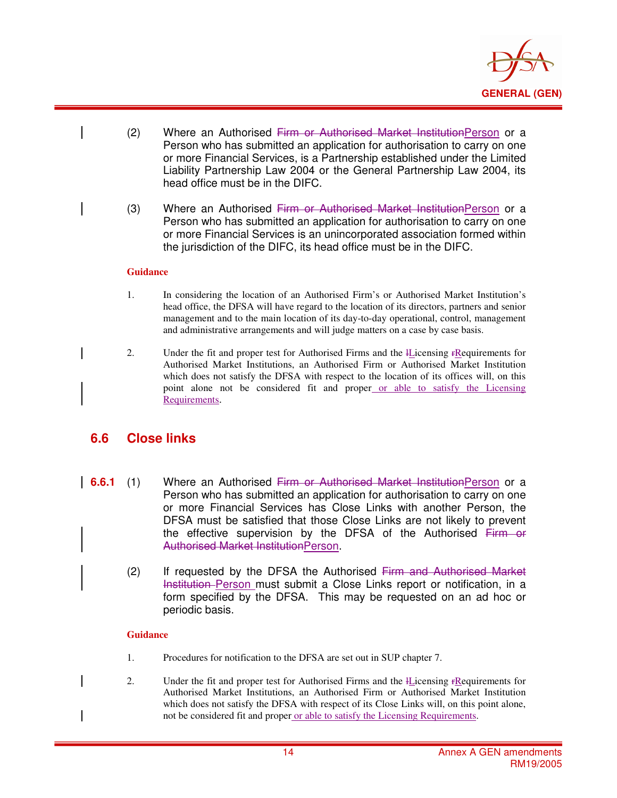

- (2) Where an Authorised Firm or Authorised Market InstitutionPerson or a Person who has submitted an application for authorisation to carry on one or more Financial Services, is a Partnership established under the Limited Liability Partnership Law 2004 or the General Partnership Law 2004, its head office must be in the DIFC.
	- (3) Where an Authorised Firm or Authorised Market Institution Person or a Person who has submitted an application for authorisation to carry on one or more Financial Services is an unincorporated association formed within the jurisdiction of the DIFC, its head office must be in the DIFC.

#### **Guidance**

i

- 1. In considering the location of an Authorised Firm's or Authorised Market Institution's head office, the DFSA will have regard to the location of its directors, partners and senior management and to the main location of its day-to-day operational, control, management and administrative arrangements and will judge matters on a case by case basis.
- 2. Under the fit and proper test for Authorised Firms and the *I*Licensing FRequirements for Authorised Market Institutions, an Authorised Firm or Authorised Market Institution which does not satisfy the DFSA with respect to the location of its offices will, on this point alone not be considered fit and proper or able to satisfy the Licensing Requirements.

### **6.6 Close links**

- **6.6.1** (1) Where an Authorised Firm or Authorised Market Institution Person or a Person who has submitted an application for authorisation to carry on one or more Financial Services has Close Links with another Person, the DFSA must be satisfied that those Close Links are not likely to prevent the effective supervision by the DFSA of the Authorised Firm or Authorised Market InstitutionPerson.
	- (2) If requested by the DFSA the Authorised Firm and Authorised Market Institution Person must submit a Close Links report or notification, in a form specified by the DFSA. This may be requested on an ad hoc or periodic basis.

#### **Guidance**

- 1. Procedures for notification to the DFSA are set out in SUP chapter 7.
- 2. Under the fit and proper test for Authorised Firms and the lLicensing rRequirements for Authorised Market Institutions, an Authorised Firm or Authorised Market Institution which does not satisfy the DFSA with respect of its Close Links will, on this point alone, not be considered fit and proper or able to satisfy the Licensing Requirements.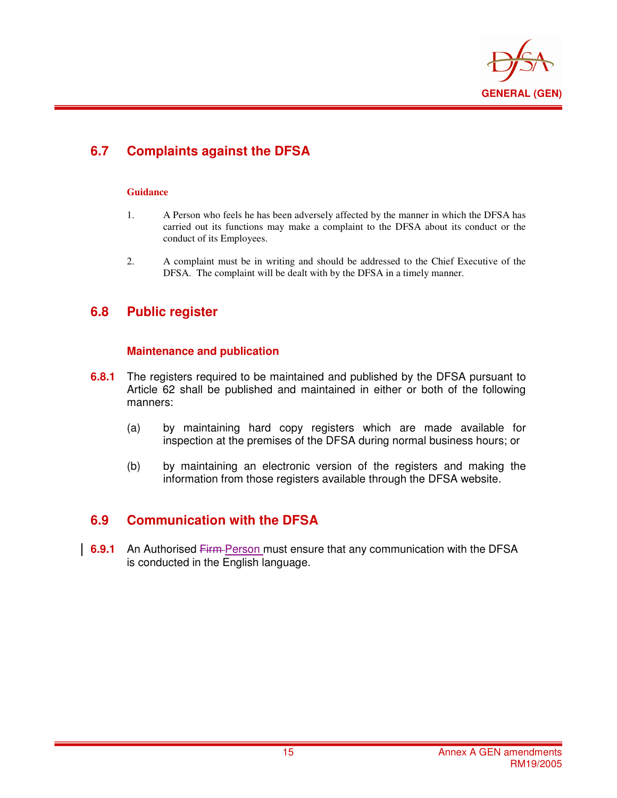

## **6.7 Complaints against the DFSA**

#### **Guidance**

i

- 1. A Person who feels he has been adversely affected by the manner in which the DFSA has carried out its functions may make a complaint to the DFSA about its conduct or the conduct of its Employees.
- 2. A complaint must be in writing and should be addressed to the Chief Executive of the DFSA. The complaint will be dealt with by the DFSA in a timely manner.

### **6.8 Public register**

#### **Maintenance and publication**

- **6.8.1** The registers required to be maintained and published by the DFSA pursuant to Article 62 shall be published and maintained in either or both of the following manners:
	- (a) by maintaining hard copy registers which are made available for inspection at the premises of the DFSA during normal business hours; or
	- (b) by maintaining an electronic version of the registers and making the information from those registers available through the DFSA website.

### **6.9 Communication with the DFSA**

**6.9.1** An Authorised Firm Person must ensure that any communication with the DFSA is conducted in the English language.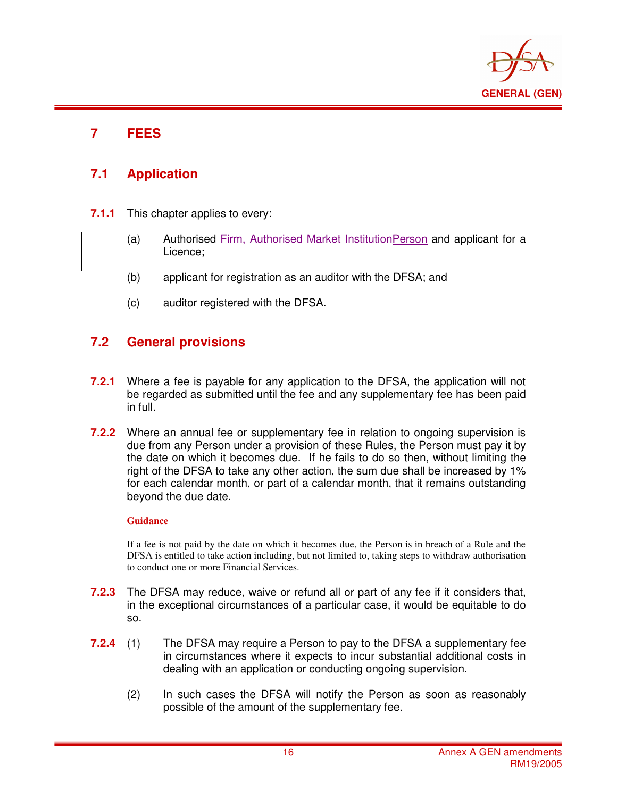

### **7 FEES**

i

### **7.1 Application**

- **7.1.1** This chapter applies to every:
	- (a) Authorised Firm, Authorised Market InstitutionPerson and applicant for a Licence;
	- (b) applicant for registration as an auditor with the DFSA; and
	- (c) auditor registered with the DFSA.

### **7.2 General provisions**

- **7.2.1** Where a fee is payable for any application to the DFSA, the application will not be regarded as submitted until the fee and any supplementary fee has been paid in full.
- **7.2.2** Where an annual fee or supplementary fee in relation to ongoing supervision is due from any Person under a provision of these Rules, the Person must pay it by the date on which it becomes due. If he fails to do so then, without limiting the right of the DFSA to take any other action, the sum due shall be increased by 1% for each calendar month, or part of a calendar month, that it remains outstanding beyond the due date.

#### **Guidance**

If a fee is not paid by the date on which it becomes due, the Person is in breach of a Rule and the DFSA is entitled to take action including, but not limited to, taking steps to withdraw authorisation to conduct one or more Financial Services.

- **7.2.3** The DFSA may reduce, waive or refund all or part of any fee if it considers that, in the exceptional circumstances of a particular case, it would be equitable to do so.
- **7.2.4** (1) The DFSA may require a Person to pay to the DFSA a supplementary fee in circumstances where it expects to incur substantial additional costs in dealing with an application or conducting ongoing supervision.
	- (2) In such cases the DFSA will notify the Person as soon as reasonably possible of the amount of the supplementary fee.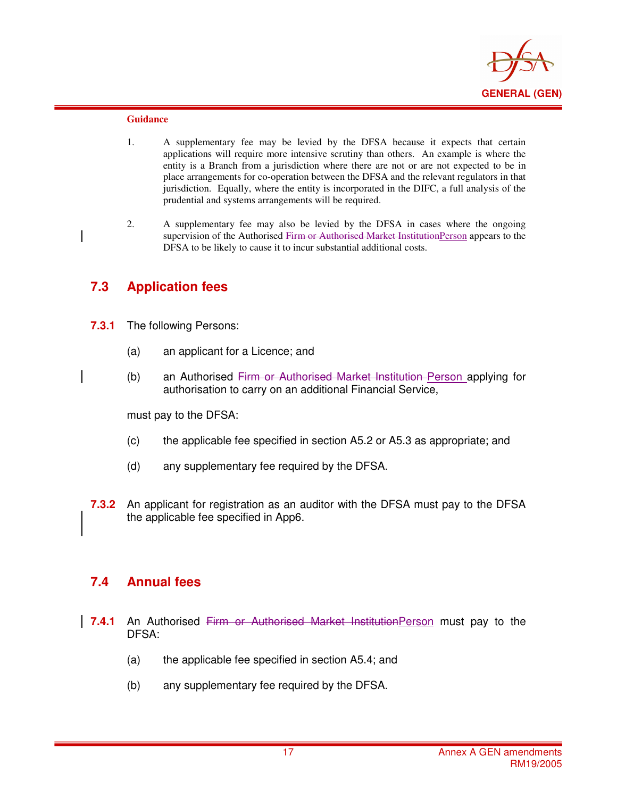

#### **Guidance**

i

- 1. A supplementary fee may be levied by the DFSA because it expects that certain applications will require more intensive scrutiny than others. An example is where the entity is a Branch from a jurisdiction where there are not or are not expected to be in place arrangements for co-operation between the DFSA and the relevant regulators in that jurisdiction. Equally, where the entity is incorporated in the DIFC, a full analysis of the prudential and systems arrangements will be required.
- 2. A supplementary fee may also be levied by the DFSA in cases where the ongoing supervision of the Authorised Firm or Authorised Market InstitutionPerson appears to the DFSA to be likely to cause it to incur substantial additional costs.

### **7.3 Application fees**

- **7.3.1** The following Persons:
	- (a) an applicant for a Licence; and
	- (b) an Authorised Firm or Authorised Market Institution Person applying for authorisation to carry on an additional Financial Service,

must pay to the DFSA:

- (c) the applicable fee specified in section A5.2 or A5.3 as appropriate; and
- (d) any supplementary fee required by the DFSA.
- **7.3.2** An applicant for registration as an auditor with the DFSA must pay to the DFSA the applicable fee specified in App6.

### **7.4 Annual fees**

- **7.4.1** An Authorised Firm or Authorised Market InstitutionPerson must pay to the DFSA:
	- (a) the applicable fee specified in section A5.4; and
	- (b) any supplementary fee required by the DFSA.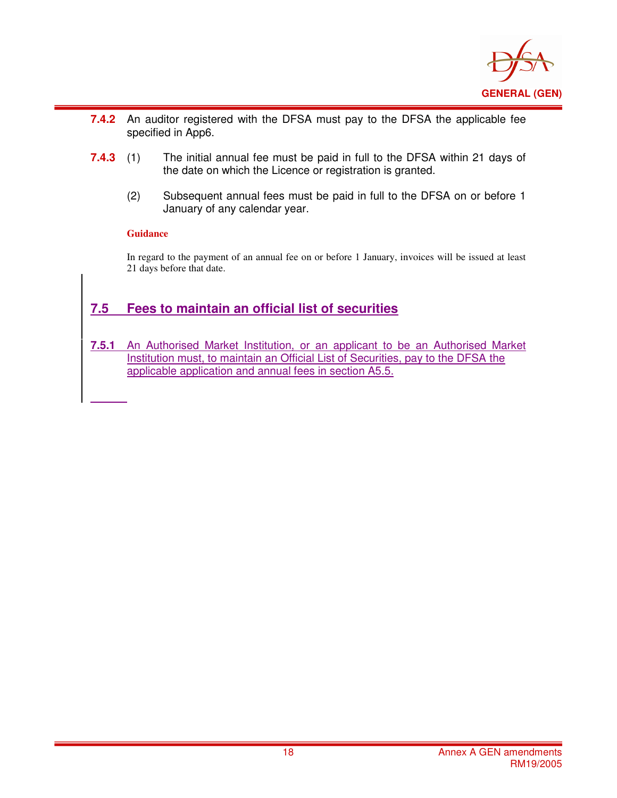

- i **7.4.2** An auditor registered with the DFSA must pay to the DFSA the applicable fee specified in App6.
- **7.4.3** (1) The initial annual fee must be paid in full to the DFSA within 21 days of the date on which the Licence or registration is granted.
	- (2) Subsequent annual fees must be paid in full to the DFSA on or before 1 January of any calendar year.

#### **Guidance**

In regard to the payment of an annual fee on or before 1 January, invoices will be issued at least 21 days before that date.

### **7.5 Fees to maintain an official list of securities**

**7.5.1** An Authorised Market Institution, or an applicant to be an Authorised Market Institution must, to maintain an Official List of Securities, pay to the DFSA the applicable application and annual fees in section A5.5.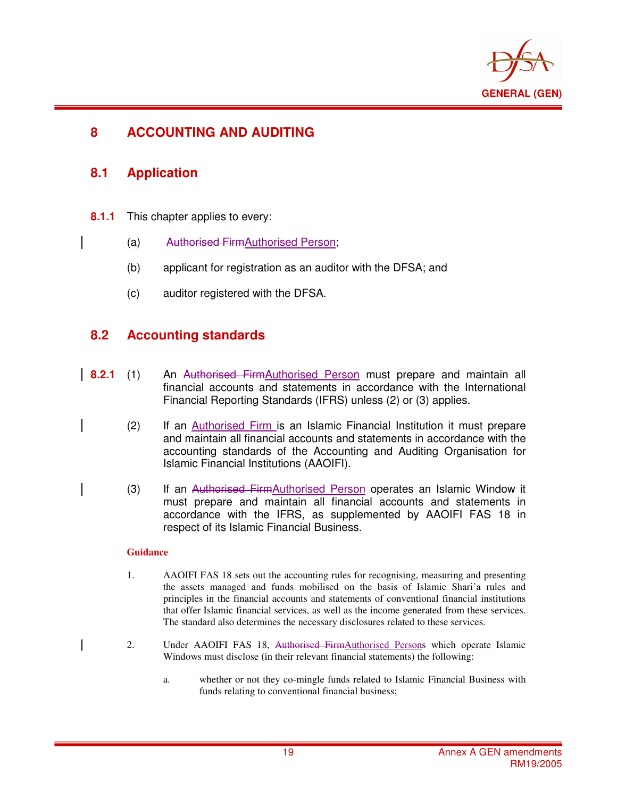

### **8 ACCOUNTING AND AUDITING**

### **8.1 Application**

i

- **8.1.1** This chapter applies to every:
	- (a) Authorised FirmAuthorised Person;
	- (b) applicant for registration as an auditor with the DFSA; and
	- (c) auditor registered with the DFSA.

### **8.2 Accounting standards**

- **8.2.1** (1) An Authorised FirmAuthorised Person must prepare and maintain all financial accounts and statements in accordance with the International Financial Reporting Standards (IFRS) unless (2) or (3) applies.
	- (2) If an Authorised Firm is an Islamic Financial Institution it must prepare and maintain all financial accounts and statements in accordance with the accounting standards of the Accounting and Auditing Organisation for Islamic Financial Institutions (AAOIFI).
	- (3) If an Authorised FirmAuthorised Person operates an Islamic Window it must prepare and maintain all financial accounts and statements in accordance with the IFRS, as supplemented by AAOIFI FAS 18 in respect of its Islamic Financial Business.

#### **Guidance**

- 1. AAOIFI FAS 18 sets out the accounting rules for recognising, measuring and presenting the assets managed and funds mobilised on the basis of Islamic Shari'a rules and principles in the financial accounts and statements of conventional financial institutions that offer Islamic financial services, as well as the income generated from these services. The standard also determines the necessary disclosures related to these services.
- 2. Under AAOIFI FAS 18, Authorised FirmAuthorised Persons which operate Islamic Windows must disclose (in their relevant financial statements) the following:
	- a. whether or not they co-mingle funds related to Islamic Financial Business with funds relating to conventional financial business;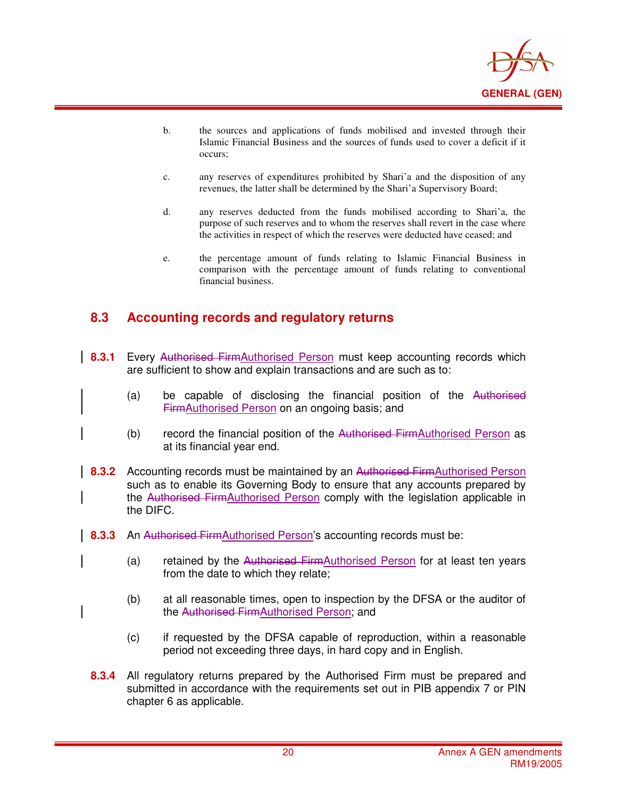

- b. the sources and applications of funds mobilised and invested through their Islamic Financial Business and the sources of funds used to cover a deficit if it occurs;
- c. any reserves of expenditures prohibited by Shari'a and the disposition of any revenues, the latter shall be determined by the Shari'a Supervisory Board;
- d. any reserves deducted from the funds mobilised according to Shari'a, the purpose of such reserves and to whom the reserves shall revert in the case where the activities in respect of which the reserves were deducted have ceased; and
- e. the percentage amount of funds relating to Islamic Financial Business in comparison with the percentage amount of funds relating to conventional financial business.

### **8.3 Accounting records and regulatory returns**

- **8.3.1** Every Authorised FirmAuthorised Person must keep accounting records which are sufficient to show and explain transactions and are such as to:
	- (a) be capable of disclosing the financial position of the Authorised FirmAuthorised Person on an ongoing basis; and
	- (b) record the financial position of the Authorised Firm $\Delta$ uthorised Person as at its financial year end.
- **8.3.2** Accounting records must be maintained by an Authorised FirmAuthorised Person such as to enable its Governing Body to ensure that any accounts prepared by the Authorised FirmAuthorised Person comply with the legislation applicable in the DIFC.
- **8.3.3** An Authorised Firm Authorised Person's accounting records must be:
	- (a) retained by the Authorised FirmAuthorised Person for at least ten years from the date to which they relate;
	- (b) at all reasonable times, open to inspection by the DFSA or the auditor of the Authorised FirmAuthorised Person; and
	- (c) if requested by the DFSA capable of reproduction, within a reasonable period not exceeding three days, in hard copy and in English.
	- **8.3.4** All regulatory returns prepared by the Authorised Firm must be prepared and submitted in accordance with the requirements set out in PIB appendix 7 or PIN chapter 6 as applicable.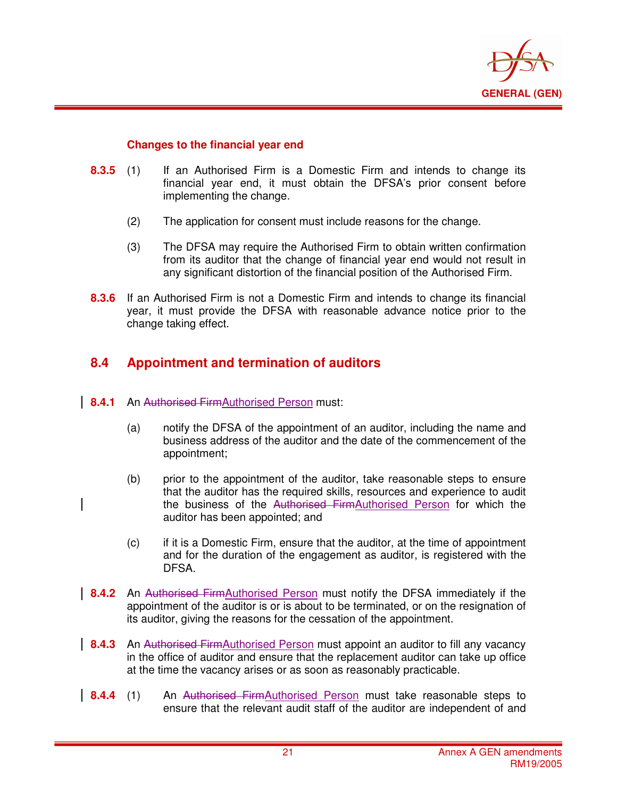

#### **Changes to the financial year end**

i

- **8.3.5** (1) If an Authorised Firm is a Domestic Firm and intends to change its financial year end, it must obtain the DFSA's prior consent before implementing the change.
	- (2) The application for consent must include reasons for the change.
	- (3) The DFSA may require the Authorised Firm to obtain written confirmation from its auditor that the change of financial year end would not result in any significant distortion of the financial position of the Authorised Firm.
- **8.3.6** If an Authorised Firm is not a Domestic Firm and intends to change its financial year, it must provide the DFSA with reasonable advance notice prior to the change taking effect.

### **8.4 Appointment and termination of auditors**

- **8.4.1** An Authorised FirmAuthorised Person must:
	- (a) notify the DFSA of the appointment of an auditor, including the name and business address of the auditor and the date of the commencement of the appointment;
	- (b) prior to the appointment of the auditor, take reasonable steps to ensure that the auditor has the required skills, resources and experience to audit the business of the Authorised FirmAuthorised Person for which the auditor has been appointed; and
		- (c) if it is a Domestic Firm, ensure that the auditor, at the time of appointment and for the duration of the engagement as auditor, is registered with the DFSA.
- **8.4.2** An Authorised FirmAuthorised Person must notify the DFSA immediately if the appointment of the auditor is or is about to be terminated, or on the resignation of its auditor, giving the reasons for the cessation of the appointment.
- **8.4.3** An Authorised FirmAuthorised Person must appoint an auditor to fill any vacancy in the office of auditor and ensure that the replacement auditor can take up office at the time the vacancy arises or as soon as reasonably practicable.
- **8.4.4** (1) An Authorised FirmAuthorised Person must take reasonable steps to ensure that the relevant audit staff of the auditor are independent of and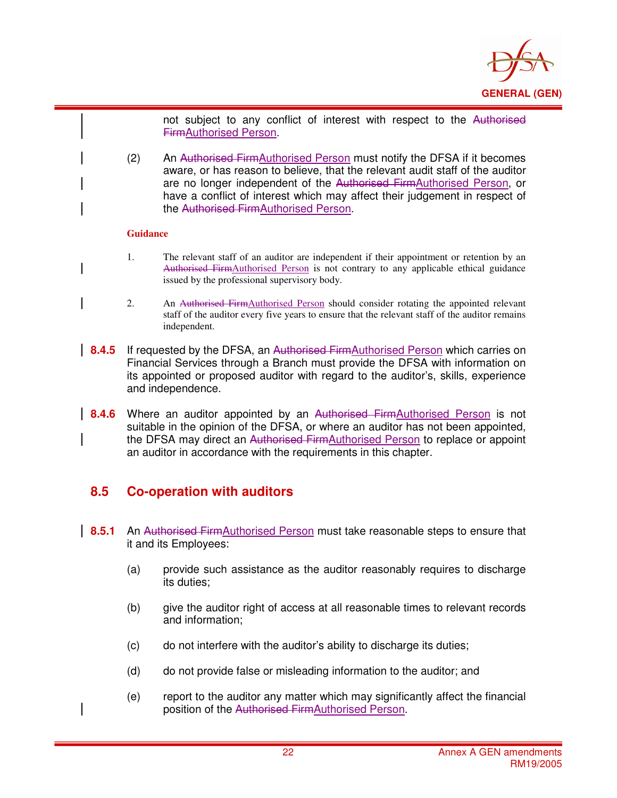

not subject to any conflict of interest with respect to the Authorised FirmAuthorised Person.

(2) An Authorised FirmAuthorised Person must notify the DFSA if it becomes aware, or has reason to believe, that the relevant audit staff of the auditor are no longer independent of the Authorised FirmAuthorised Person, or have a conflict of interest which may affect their judgement in respect of the Authorised FirmAuthorised Person.

#### **Guidance**

i

- 1. The relevant staff of an auditor are independent if their appointment or retention by an Authorised FirmAuthorised Person is not contrary to any applicable ethical guidance issued by the professional supervisory body.
- 2. An Authorised FirmAuthorised Person should consider rotating the appointed relevant staff of the auditor every five years to ensure that the relevant staff of the auditor remains independent.
- **8.4.5** If requested by the DFSA, an Authorised FirmAuthorised Person which carries on Financial Services through a Branch must provide the DFSA with information on its appointed or proposed auditor with regard to the auditor's, skills, experience and independence.
- **8.4.6** Where an auditor appointed by an Authorised FirmAuthorised Person is not suitable in the opinion of the DFSA, or where an auditor has not been appointed, the DFSA may direct an Authorised FirmAuthorised Person to replace or appoint an auditor in accordance with the requirements in this chapter.

### **8.5 Co-operation with auditors**

- **8.5.1** An Authorised FirmAuthorised Person must take reasonable steps to ensure that it and its Employees:
	- (a) provide such assistance as the auditor reasonably requires to discharge its duties;
	- (b) give the auditor right of access at all reasonable times to relevant records and information;
	- (c) do not interfere with the auditor's ability to discharge its duties;
	- (d) do not provide false or misleading information to the auditor; and
	- (e) report to the auditor any matter which may significantly affect the financial position of the Authorised FirmAuthorised Person.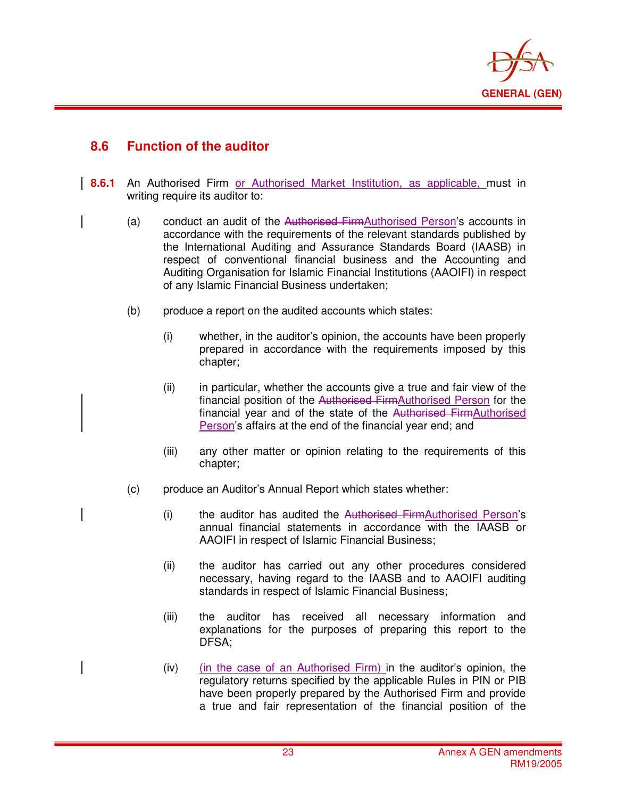

### **8.6 Function of the auditor**

- **8.6.1** An Authorised Firm or Authorised Market Institution, as applicable, must in writing require its auditor to:
	- (a) conduct an audit of the Authorised FirmAuthorised Person's accounts in accordance with the requirements of the relevant standards published by the International Auditing and Assurance Standards Board (IAASB) in respect of conventional financial business and the Accounting and Auditing Organisation for Islamic Financial Institutions (AAOIFI) in respect of any Islamic Financial Business undertaken;
	- (b) produce a report on the audited accounts which states:
		- (i) whether, in the auditor's opinion, the accounts have been properly prepared in accordance with the requirements imposed by this chapter;
		- (ii) in particular, whether the accounts give a true and fair view of the financial position of the Authorised FirmAuthorised Person for the financial year and of the state of the Authorised FirmAuthorised Person's affairs at the end of the financial year end; and
		- (iii) any other matter or opinion relating to the requirements of this chapter;
	- (c) produce an Auditor's Annual Report which states whether:
		- (i) the auditor has audited the Authorised FirmAuthorised Person's annual financial statements in accordance with the IAASB or AAOIFI in respect of Islamic Financial Business;
		- (ii) the auditor has carried out any other procedures considered necessary, having regard to the IAASB and to AAOIFI auditing standards in respect of Islamic Financial Business;
		- (iii) the auditor has received all necessary information and explanations for the purposes of preparing this report to the DFSA;
		- (iv) (in the case of an Authorised Firm) in the auditor's opinion, the regulatory returns specified by the applicable Rules in PIN or PIB have been properly prepared by the Authorised Firm and provide a true and fair representation of the financial position of the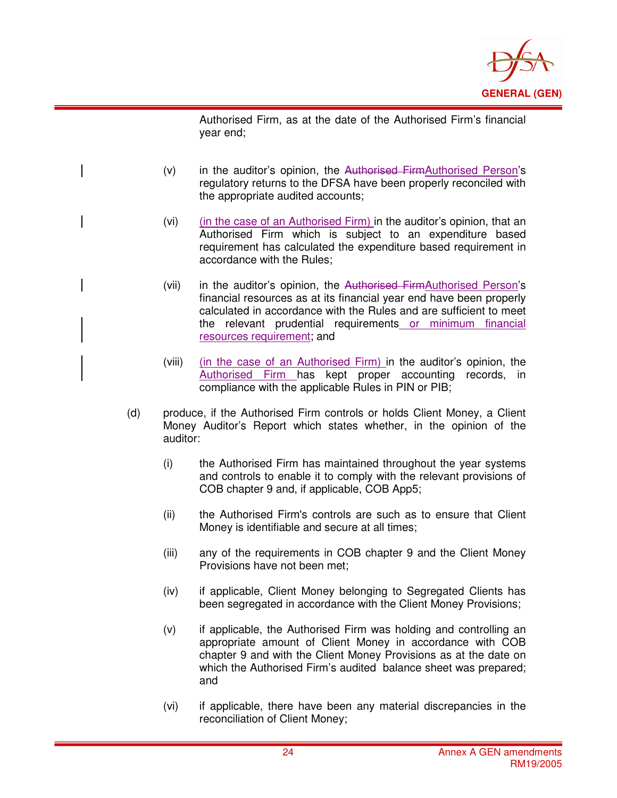

Authorised Firm, as at the date of the Authorised Firm's financial year end;

 $(v)$  in the auditor's opinion, the Authorised Firm Authorised Person's regulatory returns to the DFSA have been properly reconciled with the appropriate audited accounts;

- (vi) (in the case of an Authorised Firm) in the auditor's opinion, that an Authorised Firm which is subject to an expenditure based requirement has calculated the expenditure based requirement in accordance with the Rules;
- (vii) in the auditor's opinion, the Authorised FirmAuthorised Person's financial resources as at its financial year end have been properly calculated in accordance with the Rules and are sufficient to meet the relevant prudential requirements or minimum financial resources requirement; and
- (viii) (in the case of an Authorised Firm) in the auditor's opinion, the Authorised Firm has kept proper accounting records, in compliance with the applicable Rules in PIN or PIB;
- (d) produce, if the Authorised Firm controls or holds Client Money, a Client Money Auditor's Report which states whether, in the opinion of the auditor:
	- (i) the Authorised Firm has maintained throughout the year systems and controls to enable it to comply with the relevant provisions of COB chapter 9 and, if applicable, COB App5;
	- (ii) the Authorised Firm's controls are such as to ensure that Client Money is identifiable and secure at all times;
	- (iii) any of the requirements in COB chapter 9 and the Client Money Provisions have not been met;
	- (iv) if applicable, Client Money belonging to Segregated Clients has been segregated in accordance with the Client Money Provisions;
	- (v) if applicable, the Authorised Firm was holding and controlling an appropriate amount of Client Money in accordance with COB chapter 9 and with the Client Money Provisions as at the date on which the Authorised Firm's audited balance sheet was prepared; and
	- (vi) if applicable, there have been any material discrepancies in the reconciliation of Client Money;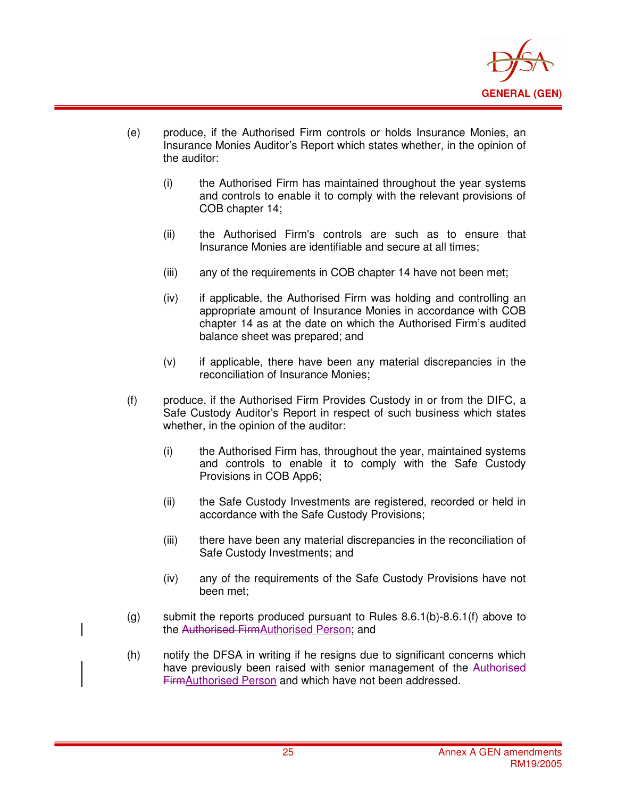

(e) produce, if the Authorised Firm controls or holds Insurance Monies, an Insurance Monies Auditor's Report which states whether, in the opinion of the auditor:

- (i) the Authorised Firm has maintained throughout the year systems and controls to enable it to comply with the relevant provisions of COB chapter 14;
- (ii) the Authorised Firm's controls are such as to ensure that Insurance Monies are identifiable and secure at all times;
- (iii) any of the requirements in COB chapter 14 have not been met;
- (iv) if applicable, the Authorised Firm was holding and controlling an appropriate amount of Insurance Monies in accordance with COB chapter 14 as at the date on which the Authorised Firm's audited balance sheet was prepared; and
- (v) if applicable, there have been any material discrepancies in the reconciliation of Insurance Monies;
- (f) produce, if the Authorised Firm Provides Custody in or from the DIFC, a Safe Custody Auditor's Report in respect of such business which states whether, in the opinion of the auditor:
	- (i) the Authorised Firm has, throughout the year, maintained systems and controls to enable it to comply with the Safe Custody Provisions in COB App6;
	- (ii) the Safe Custody Investments are registered, recorded or held in accordance with the Safe Custody Provisions;
	- (iii) there have been any material discrepancies in the reconciliation of Safe Custody Investments; and
	- (iv) any of the requirements of the Safe Custody Provisions have not been met;
- (g) submit the reports produced pursuant to Rules  $8.6.1(b)$ - $8.6.1(f)$  above to the Authorised FirmAuthorised Person; and
- (h) notify the DFSA in writing if he resigns due to significant concerns which have previously been raised with senior management of the Authorised FirmAuthorised Person and which have not been addressed.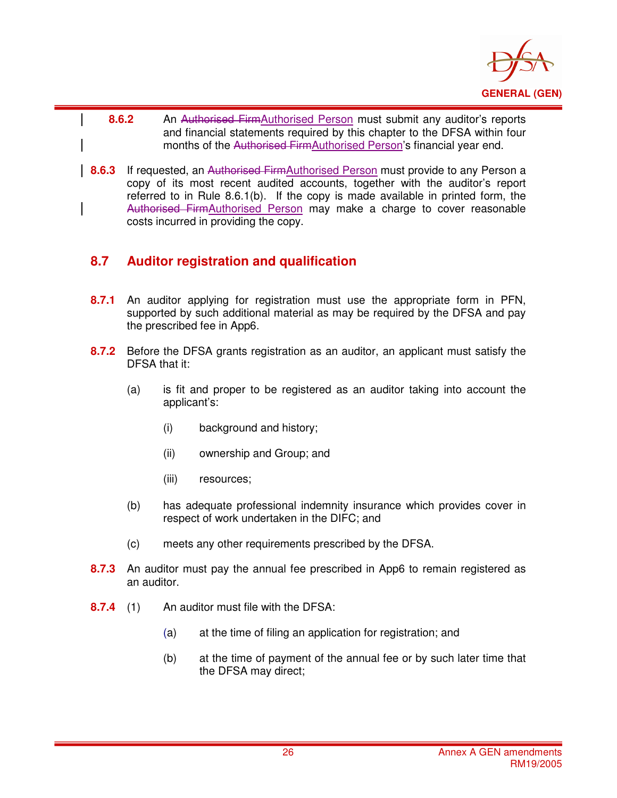

- i **8.6.2** An Authorised FirmAuthorised Person must submit any auditor's reports and financial statements required by this chapter to the DFSA within four months of the Authorised FirmAuthorised Person's financial year end.
- **8.6.3** If requested, an Authorised FirmAuthorised Person must provide to any Person a copy of its most recent audited accounts, together with the auditor's report referred to in Rule 8.6.1(b). If the copy is made available in printed form, the Authorised FirmAuthorised Person may make a charge to cover reasonable costs incurred in providing the copy.

## **8.7 Auditor registration and qualification**

- **8.7.1** An auditor applying for registration must use the appropriate form in PFN, supported by such additional material as may be required by the DFSA and pay the prescribed fee in App6.
- **8.7.2** Before the DFSA grants registration as an auditor, an applicant must satisfy the DFSA that it:
	- (a) is fit and proper to be registered as an auditor taking into account the applicant's:
		- (i) background and history;
		- (ii) ownership and Group; and
		- (iii) resources;
	- (b) has adequate professional indemnity insurance which provides cover in respect of work undertaken in the DIFC; and
	- (c) meets any other requirements prescribed by the DFSA.
- **8.7.3** An auditor must pay the annual fee prescribed in App6 to remain registered as an auditor.
- **8.7.4** (1) An auditor must file with the DFSA:
	- (a) at the time of filing an application for registration; and
	- (b) at the time of payment of the annual fee or by such later time that the DFSA may direct;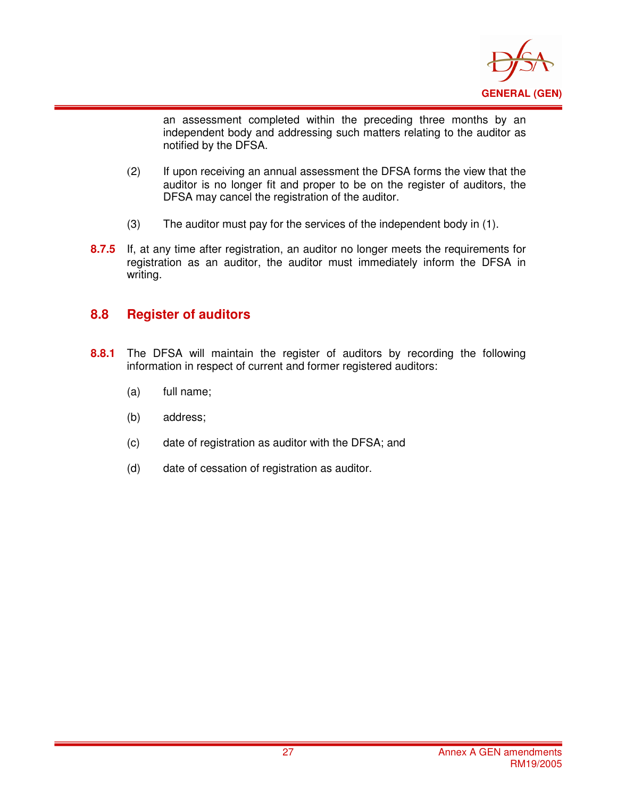

an assessment completed within the preceding three months by an independent body and addressing such matters relating to the auditor as notified by the DFSA.

- (2) If upon receiving an annual assessment the DFSA forms the view that the auditor is no longer fit and proper to be on the register of auditors, the DFSA may cancel the registration of the auditor.
- (3) The auditor must pay for the services of the independent body in (1).
- **8.7.5** If, at any time after registration, an auditor no longer meets the requirements for registration as an auditor, the auditor must immediately inform the DFSA in writing.

### **8.8 Register of auditors**

- **8.8.1** The DFSA will maintain the register of auditors by recording the following information in respect of current and former registered auditors:
	- (a) full name;
	- (b) address;
	- (c) date of registration as auditor with the DFSA; and
	- (d) date of cessation of registration as auditor.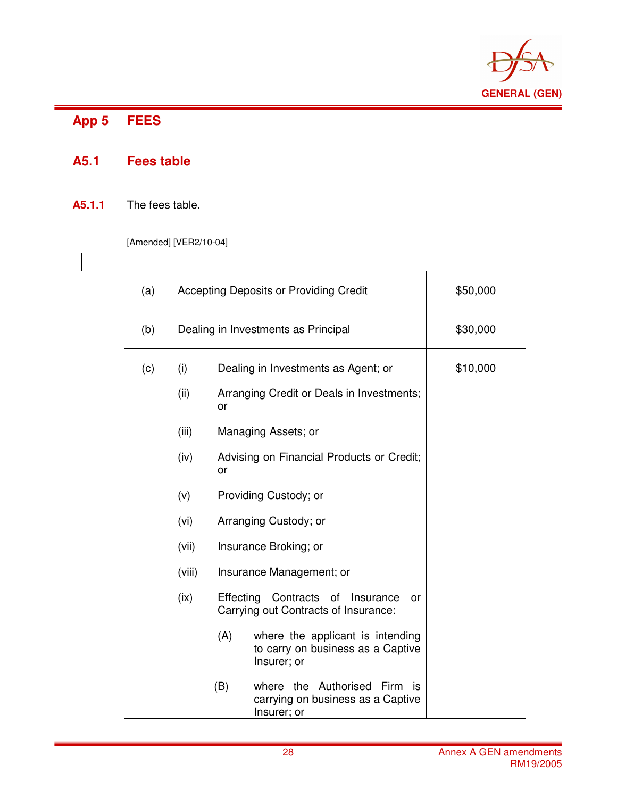

#### App 5 **App 5 FEES**

 $\overline{\phantom{a}}$ 

## **A5.1 Fees table**

### **A5.1.1** The fees table.

[Amended] [VER2/10-04]

| (a) | <b>Accepting Deposits or Providing Credit</b>                                             |     |                                                                                      | \$50,000 |
|-----|-------------------------------------------------------------------------------------------|-----|--------------------------------------------------------------------------------------|----------|
| (b) | Dealing in Investments as Principal                                                       |     |                                                                                      | \$30,000 |
| (c) | (i)                                                                                       |     | Dealing in Investments as Agent; or                                                  | \$10,000 |
|     | (ii)                                                                                      | or  | Arranging Credit or Deals in Investments;                                            |          |
|     | (iii)                                                                                     |     | Managing Assets; or                                                                  |          |
|     | (iv)                                                                                      | or  | Advising on Financial Products or Credit;                                            |          |
|     | (v)                                                                                       |     | Providing Custody; or                                                                |          |
|     | (vi)                                                                                      |     | Arranging Custody; or                                                                |          |
|     | (vii)                                                                                     |     | Insurance Broking; or                                                                |          |
|     | (viii)                                                                                    |     | Insurance Management; or                                                             |          |
|     | (ix)<br>Effecting<br>Contracts of Insurance<br>or<br>Carrying out Contracts of Insurance: |     |                                                                                      |          |
|     |                                                                                           | (A) | where the applicant is intending<br>to carry on business as a Captive<br>Insurer; or |          |
|     |                                                                                           | (B) | where the Authorised Firm<br>İS<br>carrying on business as a Captive<br>Insurer; or  |          |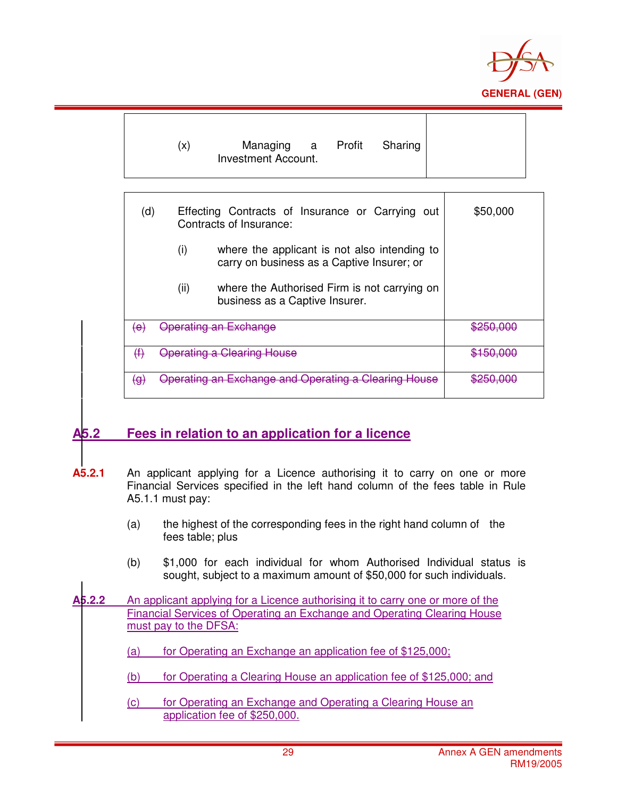

|                               | (x)         | Managing a Profit<br>Sharing<br>Investment Account.                                                                                                                                                                       |                      |
|-------------------------------|-------------|---------------------------------------------------------------------------------------------------------------------------------------------------------------------------------------------------------------------------|----------------------|
| (d)                           | (i)<br>(ii) | Effecting Contracts of Insurance or Carrying out<br>Contracts of Insurance:<br>where the applicant is not also intending to<br>carry on business as a Captive Insurer; or<br>where the Authorised Firm is not carrying on | \$50,000             |
| $\left\langle e\right\rangle$ |             | business as a Captive Insurer.<br><b>Operating an Exchange</b>                                                                                                                                                            | <del>\$250.000</del> |
| #                             |             | <b>Operating a Clearing House</b>                                                                                                                                                                                         | <del>\$150,000</del> |
| $\Theta$                      |             | Operating an Exchange and Operating a Clearing                                                                                                                                                                            |                      |

## **A5.2 Fees in relation to an application for a licence**

- **A5.2.1** An applicant applying for a Licence authorising it to carry on one or more Financial Services specified in the left hand column of the fees table in Rule A5.1.1 must pay:
	- (a) the highest of the corresponding fees in the right hand column of the fees table; plus
	- (b) \$1,000 for each individual for whom Authorised Individual status is sought, subject to a maximum amount of \$50,000 for such individuals.
- **A5.2.2** An applicant applying for a Licence authorising it to carry one or more of the Financial Services of Operating an Exchange and Operating Clearing House must pay to the DFSA:
	- (a) for Operating an Exchange an application fee of  $$125,000$ ;
	- (b) for Operating a Clearing House an application fee of \$125,000; and
	- (c) for Operating an Exchange and Operating a Clearing House an application fee of \$250,000.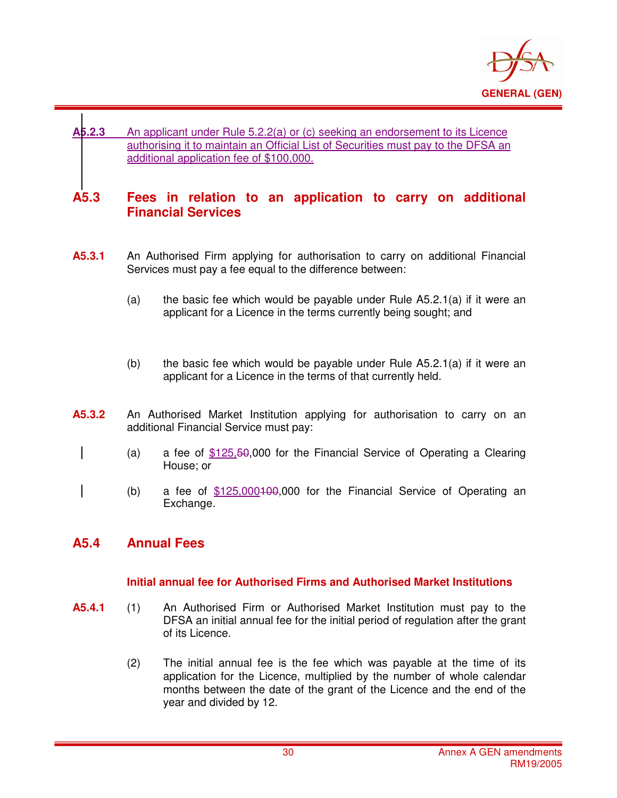

### **A5.2.3** An applicant under Rule 5.2.2(a) or (c) seeking an endorsement to its Licence authorising it to maintain an Official List of Securities must pay to the DFSA an additional application fee of \$100,000.

### **A5.3 Fees in relation to an application to carry on additional Financial Services**

- **A5.3.1** An Authorised Firm applying for authorisation to carry on additional Financial Services must pay a fee equal to the difference between:
	- (a) the basic fee which would be payable under Rule  $A5.2.1(a)$  if it were an applicant for a Licence in the terms currently being sought; and
	- (b) the basic fee which would be payable under Rule  $A5.2.1(a)$  if it were an applicant for a Licence in the terms of that currently held.
- **A5.3.2** An Authorised Market Institution applying for authorisation to carry on an additional Financial Service must pay:
	- (a) a fee of \$125,50,000 for the Financial Service of Operating a Clearing House; or
	- (b) a fee of  $$125,000100,000$  for the Financial Service of Operating an Exchange.

### **A5.4 Annual Fees**

i

#### **Initial annual fee for Authorised Firms and Authorised Market Institutions**

- **A5.4.1** (1) An Authorised Firm or Authorised Market Institution must pay to the DFSA an initial annual fee for the initial period of regulation after the grant of its Licence.
	- (2) The initial annual fee is the fee which was payable at the time of its application for the Licence, multiplied by the number of whole calendar months between the date of the grant of the Licence and the end of the year and divided by 12.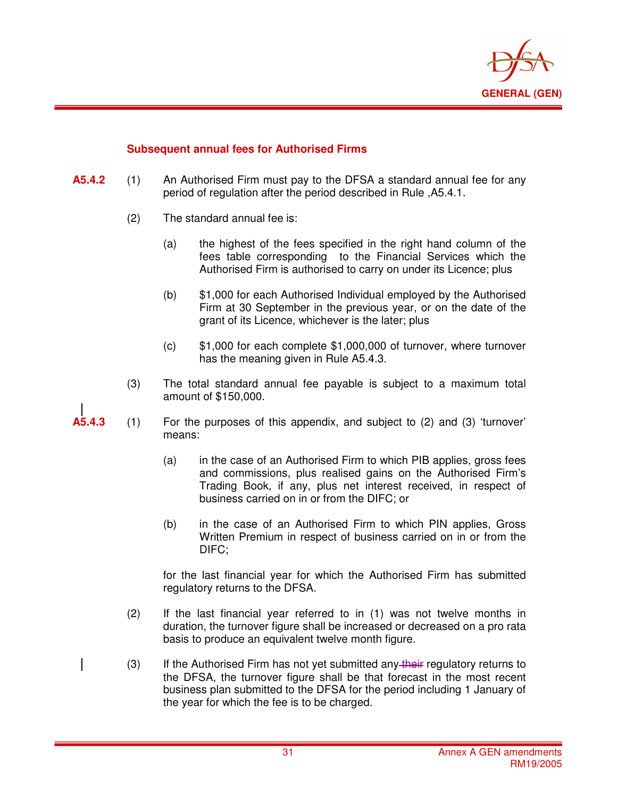

#### **Subsequent annual fees for Authorised Firms**

- **A5.4.2** (1) An Authorised Firm must pay to the DFSA a standard annual fee for any period of regulation after the period described in Rule ,A5.4.1.
	- (2) The standard annual fee is:

i

- (a) the highest of the fees specified in the right hand column of the fees table corresponding to the Financial Services which the Authorised Firm is authorised to carry on under its Licence; plus
- (b) \$1,000 for each Authorised Individual employed by the Authorised Firm at 30 September in the previous year, or on the date of the grant of its Licence, whichever is the later; plus
- (c) \$1,000 for each complete \$1,000,000 of turnover, where turnover has the meaning given in Rule A5.4.3.
- (3) The total standard annual fee payable is subject to a maximum total amount of \$150,000.
- **A5.4.3** (1) For the purposes of this appendix, and subject to (2) and (3) 'turnover' means:
	- (a) in the case of an Authorised Firm to which PIB applies, gross fees and commissions, plus realised gains on the Authorised Firm's Trading Book, if any, plus net interest received, in respect of business carried on in or from the DIFC; or
	- (b) in the case of an Authorised Firm to which PIN applies, Gross Written Premium in respect of business carried on in or from the DIFC;

for the last financial year for which the Authorised Firm has submitted regulatory returns to the DFSA.

- (2) If the last financial year referred to in (1) was not twelve months in duration, the turnover figure shall be increased or decreased on a pro rata basis to produce an equivalent twelve month figure.
- $(3)$  If the Authorised Firm has not yet submitted any their regulatory returns to the DFSA, the turnover figure shall be that forecast in the most recent business plan submitted to the DFSA for the period including 1 January of the year for which the fee is to be charged.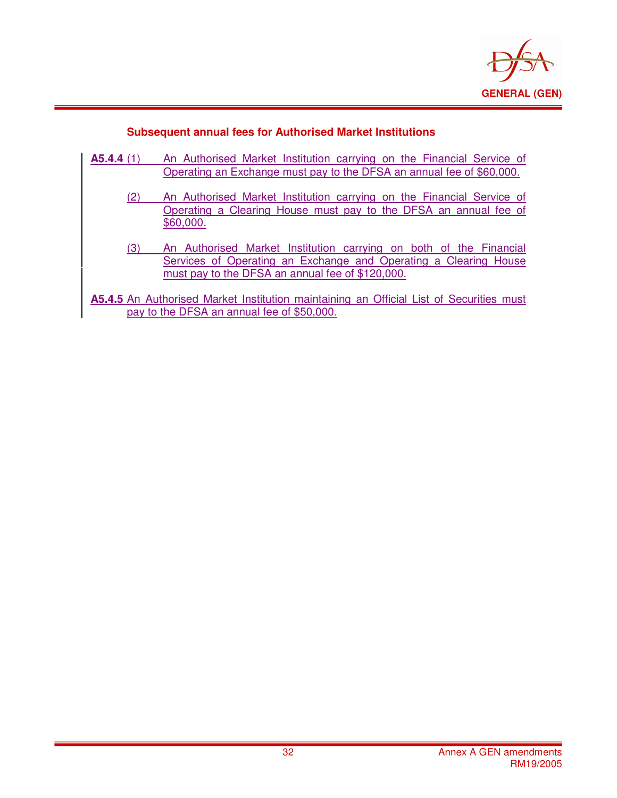

### **Subsequent annual fees for Authorised Market Institutions**

| A5.4.4(1)                                                                               | An Authorised Market Institution carrying on the Financial Service of |  |  |  |
|-----------------------------------------------------------------------------------------|-----------------------------------------------------------------------|--|--|--|
|                                                                                         | Operating an Exchange must pay to the DFSA an annual fee of \$60,000. |  |  |  |
|                                                                                         |                                                                       |  |  |  |
| (2)                                                                                     | An Authorised Market Institution carrying on the Financial Service of |  |  |  |
|                                                                                         | Operating a Clearing House must pay to the DFSA an annual fee of      |  |  |  |
|                                                                                         | \$60,000.                                                             |  |  |  |
|                                                                                         |                                                                       |  |  |  |
| (3)                                                                                     | An Authorised Market Institution carrying on both of the Financial    |  |  |  |
|                                                                                         | Services of Operating an Exchange and Operating a Clearing House      |  |  |  |
|                                                                                         | must pay to the DFSA an annual fee of \$120,000.                      |  |  |  |
|                                                                                         |                                                                       |  |  |  |
| A5.4.5 An Authorised Market Institution maintaining an Official List of Securities must |                                                                       |  |  |  |
|                                                                                         |                                                                       |  |  |  |
| pay to the DFSA an annual fee of \$50,000.                                              |                                                                       |  |  |  |